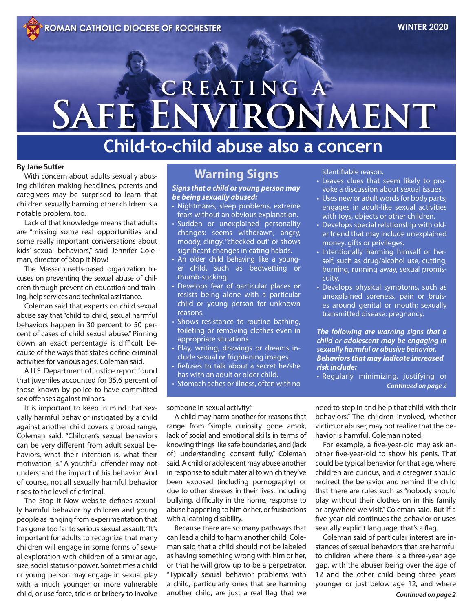# CREATING A SAFE ENVIRONMENT

# **Child-to-child abuse also a concern**

#### **By Jane Sutter**

With concern about adults sexually abusing children making headlines, parents and caregivers may be surprised to learn that children sexually harming other children is a notable problem, too.

Lack of that knowledge means that adults are "missing some real opportunities and some really important conversations about kids' sexual behaviors," said Jennifer Coleman, director of Stop It Now!

The Massachusetts-based organization focuses on preventing the sexual abuse of children through prevention education and training, help services and technical assistance.

Coleman said that experts on child sexual abuse say that "child to child, sexual harmful behaviors happen in 30 percent to 50 percent of cases of child sexual abuse." Pinning down an exact percentage is difficult because of the ways that states define criminal activities for various ages, Coleman said.

A U.S. Department of Justice report found that juveniles accounted for 35.6 percent of those known by police to have committed sex offenses against minors.

It is important to keep in mind that sexually harmful behavior instigated by a child against another child covers a broad range, Coleman said. "Children's sexual behaviors can be very different from adult sexual behaviors, what their intention is, what their motivation is." A youthful offender may not understand the impact of his behavior. And of course, not all sexually harmful behavior rises to the level of criminal.

The Stop It Now website defines sexually harmful behavior by children and young people as ranging from experimentation that has gone too far to serious sexual assault. "It's important for adults to recognize that many children will engage in some forms of sexual exploration with children of a similar age, size, social status or power. Sometimes a child or young person may engage in sexual play with a much younger or more vulnerable child, or use force, tricks or bribery to involve

# **Warning Signs**

*Signs that a child or young person may be being sexually abused:*

- Nightmares, sleep problems, extreme fears without an obvious explanation.
- Sudden or unexplained personality changes: seems withdrawn, angry, moody, clingy, "checked-out" or shows significant changes in eating habits.
- An older child behaving like a younger child, such as bedwetting or thumb-sucking.
- Develops fear of particular places or resists being alone with a particular child or young person for unknown reasons.
- Shows resistance to routine bathing, toileting or removing clothes even in appropriate situations.
- Play, writing, drawings or dreams include sexual or frightening images.
- Refuses to talk about a secret he/she has with an adult or older child.
- Stomach aches or illness, often with no

someone in sexual activity."

A child may harm another for reasons that range from "simple curiosity gone amok, lack of social and emotional skills in terms of knowing things like safe boundaries, and (lack of) understanding consent fully," Coleman said. A child or adolescent may abuse another in response to adult material to which they've been exposed (including pornography) or due to other stresses in their lives, including bullying, difficulty in the home, response to abuse happening to him or her, or frustrations with a learning disability.

Because there are so many pathways that can lead a child to harm another child, Coleman said that a child should not be labeled as having something wrong with him or her, or that he will grow up to be a perpetrator. "Typically sexual behavior problems with a child, particularly ones that are harming another child, are just a real flag that we

identifiable reason.

- Leaves clues that seem likely to provoke a discussion about sexual issues.
- Uses new or adult words for body parts; engages in adult-like sexual activities with toys, objects or other children.
- Develops special relationship with older friend that may include unexplained money, gifts or privileges.
- Intentionally harming himself or herself, such as drug/alcohol use, cutting, burning, running away, sexual promiscuity.
- Develops physical symptoms, such as unexplained soreness, pain or bruises around genital or mouth; sexually transmitted disease; pregnancy.

*The following are warning signs that a child or adolescent may be engaging in sexually harmful or abusive behavior. Behaviors that may indicate increased risk include:* 

• Regularly minimizing, justifying or *Continued on page 2*

need to step in and help that child with their behaviors." The children involved, whether victim or abuser, may not realize that the behavior is harmful, Coleman noted.

For example, a five-year-old may ask another five-year-old to show his penis. That could be typical behavior for that age, where children are curious, and a caregiver should redirect the behavior and remind the child that there are rules such as "nobody should play without their clothes on in this family or anywhere we visit," Coleman said. But if a five-year-old continues the behavior or uses sexually explicit language, that's a flag.

Coleman said of particular interest are instances of sexual behaviors that are harmful to children where there is a three-year age gap, with the abuser being over the age of 12 and the other child being three years younger or just below age 12, and where *Continued on page 2*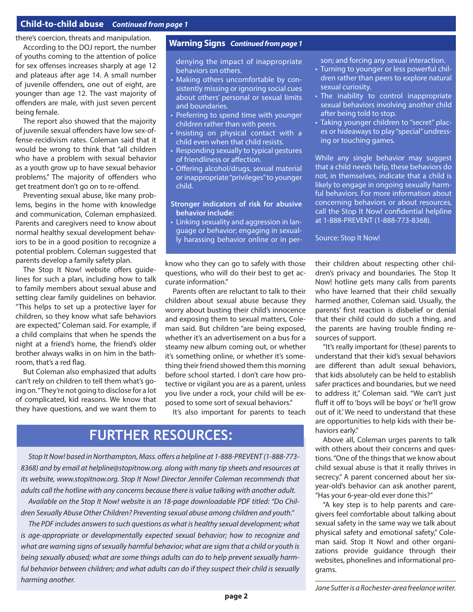### **Child-to-child abuse** *Continued from page 1*

there's coercion, threats and manipulation.

According to the DOJ report, the number of youths coming to the attention of police for sex offenses increases sharply at age 12 and plateaus after age 14. A small number of juvenile offenders, one out of eight, are younger than age 12. The vast majority of offenders are male, with just seven percent being female.

The report also showed that the majority of juvenile sexual offenders have low sex-offense-recidivism rates. Coleman said that it would be wrong to think that "all children who have a problem with sexual behavior as a youth grow up to have sexual behavior problems." The majority of offenders who get treatment don't go on to re-offend.

Preventing sexual abuse, like many problems, begins in the home with knowledge and communication, Coleman emphasized. Parents and caregivers need to know about normal healthy sexual development behaviors to be in a good position to recognize a potential problem. Coleman suggested that parents develop a family safety plan.

The Stop It Now! website offers guidelines for such a plan, including how to talk to family members about sexual abuse and setting clear family guidelines on behavior. "This helps to set up a protective layer for children, so they know what safe behaviors are expected," Coleman said. For example, if a child complains that when he spends the night at a friend's home, the friend's older brother always walks in on him in the bathroom, that's a red flag.

But Coleman also emphasized that adults can't rely on children to tell them what's going on. "They're not going to disclose for a lot of complicated, kid reasons. We know that they have questions, and we want them to

### **Warning Signs** *Continued from page 1*

denying the impact of inappropriate behaviors on others.

- Making others uncomfortable by consistently missing or ignoring social cues about others' personal or sexual limits and boundaries.
- Preferring to spend time with younger children rather than with peers.
- Insisting on physical contact with a child even when that child resists.
- Responding sexually to typical gestures of friendliness or affection.
- Offering alcohol/drugs, sexual material or inappropriate "privileges" to younger child.

#### **Stronger indicators of risk for abusive behavior include:**

• Linking sexuality and aggression in language or behavior; engaging in sexually harassing behavior online or in per-

know who they can go to safely with those questions, who will do their best to get accurate information."

Parents often are reluctant to talk to their children about sexual abuse because they worry about busting their child's innocence and exposing them to sexual matters, Coleman said. But children "are being exposed, whether it's an advertisement on a bus for a steamy new album coming out, or whether it's something online, or whether it's something their friend showed them this morning before school started. I don't care how protective or vigilant you are as a parent, unless you live under a rock, your child will be exposed to some sort of sexual behaviors."

It's also important for parents to teach

# **FURTHER RESOURCES:**

*Stop It Now! based in Northampton, Mass. offers a helpline at 1-888-PREVENT (1-888-773- 8368) and by email at helpline@stopitnow.org. along with many tip sheets and resources at its website, www.stopitnow.org. Stop It Now! Director Jennifer Coleman recommends that adults call the hotline with any concerns because there is value talking with another adult.* 

*Available on the Stop It Now! website is an 18-page downloadable PDF titled: "Do Children Sexually Abuse Other Children? Preventing sexual abuse among children and youth."*

*The PDF includes answers to such questions as what is healthy sexual development; what is age-appropriate or developmentally expected sexual behavior; how to recognize and what are warning signs of sexually harmful behavior; what are signs that a child or youth is being sexually abused; what are some things adults can do to help prevent sexually harmful behavior between children; and what adults can do if they suspect their child is sexually harming another.* 

son; and forcing any sexual interaction.

- Turning to younger or less powerful children rather than peers to explore natural sexual curiosity.
- The inability to control inappropriate sexual behaviors involving another child after being told to stop.
- Taking younger children to "secret" places or hideaways to play "special" undressing or touching games.

While any single behavior may suggest that a child needs help, these behaviors do not, in themselves, indicate that a child is likely to engage in ongoing sexually harmful behaviors. For more information about concerning behaviors or about resources, call the Stop It Now! confidential helpline at 1-888-PREVENT (1-888-773-8368).

Source: Stop It Now!

their children about respecting other children's privacy and boundaries. The Stop It Now! hotline gets many calls from parents who have learned that their child sexually harmed another, Coleman said. Usually, the parents' first reaction is disbelief or denial that their child could do such a thing, and the parents are having trouble finding resources of support.

"It's really important for (these) parents to understand that their kid's sexual behaviors are different than adult sexual behaviors, that kids absolutely can be held to establish safer practices and boundaries, but we need to address it," Coleman said. "We can't just fluff it off to 'boys will be boys' or 'he'll grow out of it.' We need to understand that these are opportunities to help kids with their behaviors early."

Above all, Coleman urges parents to talk with others about their concerns and questions. "One of the things that we know about child sexual abuse is that it really thrives in secrecy." A parent concerned about her sixyear-old's behavior can ask another parent, "Has your 6-year-old ever done this?"

"A key step is to help parents and caregivers feel comfortable about talking about sexual safety in the same way we talk about physical safety and emotional safety," Coleman said. Stop It Now! and other organizations provide guidance through their websites, phonelines and informational programs.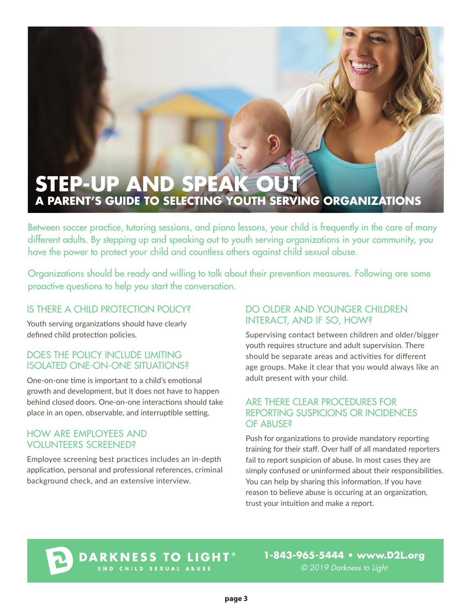# **STEP-UP AND SPEAK OUT A PARENT'S GUIDE TO SELECTING YOUTH SERVING ORGANIZATIONS**

Between soccer practice, tutoring sessions, and piano lessons, your child is frequently in the care of many different adults. By stepping up and speaking out to youth serving organizations in your community, you have the power to protect your child and countless others against child sexual abuse.

Organizations should be ready and willing to talk about their prevention measures. Following are some proactive questions to help you start the conversation.

# IS THERE A CHILD PROTECTION POLICY?

Youth serving organizations should have clearly defined child protection policies.

## DOES THE POLICY INCLUDE LIMITING ISOLATED ONE-ON-ONE SITUATIONS?

One-on-one time is important to a child's emotional growth and development, but it does not have to happen behind closed doors. One-on-one interactions should take place in an open, observable, and interruptible setting.

## HOW ARE EMPLOYEES AND VOLUNTEERS SCREENED?

Employee screening best practices includes an in-depth application, personal and professional references, criminal background check, and an extensive interview.

# DO OLDER AND YOUNGER CHILDREN INTERACT, AND IF SO, HOW?

Supervising contact between children and older/bigger youth requires structure and adult supervision. There should be separate areas and activities for different age groups. Make it clear that you would always like an adult present with your child.

### ARE THERE CLEAR PROCEDURES FOR REPORTING SUSPICIONS OR INCIDENCES OF ABUSE?

Push for organizations to provide mandatory reporting training for their staff. Over half of all mandated reporters fail to report suspicion of abuse. In most cases they are simply confused or uninformed about their responsibilities. You can help by sharing this information. If you have reason to believe abuse is occuring at an organization, trust your intuition and make a report.

# **DARKNESS TO LIGHT<sup>®</sup>**

**1-843-965-5444 • www.D2L.org** *© 2019 Darkness to Light*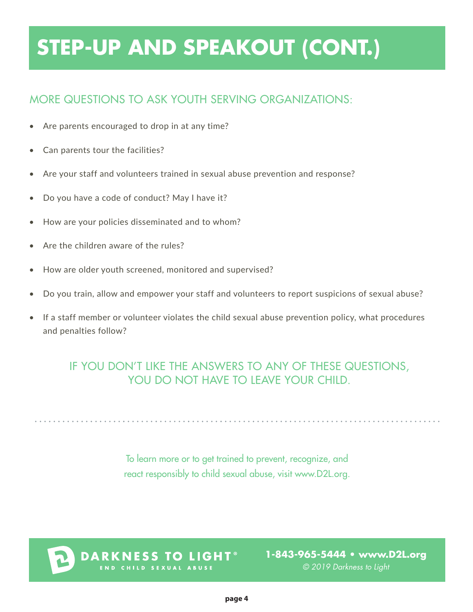# **STEP-UP AND SPEAKOUT (CONT.)**

# MORE QUESTIONS TO ASK YOUTH SERVING ORGANIZATIONS:

- Are parents encouraged to drop in at any time?
- Can parents tour the facilities?
- Are your staff and volunteers trained in sexual abuse prevention and response?
- Do you have a code of conduct? May I have it?
- How are your policies disseminated and to whom?
- Are the children aware of the rules?
- How are older youth screened, monitored and supervised?
- Do you train, allow and empower your staff and volunteers to report suspicions of sexual abuse?
- If a staff member or volunteer violates the child sexual abuse prevention policy, what procedures and penalties follow?

# IF YOU DON'T LIKE THE ANSWERS TO ANY OF THESE QUESTIONS, YOU DO NOT HAVE TO LEAVE YOUR CHILD.

To learn more or to get trained to prevent, recognize, and react responsibly to child sexual abuse, visit www.D2L.org.



**DARKNESS TO LIGHT® ILD SEXUAL ABUSE** 

**1-843-965-5444 • www.D2L.org** *© 2019 Darkness to Light*